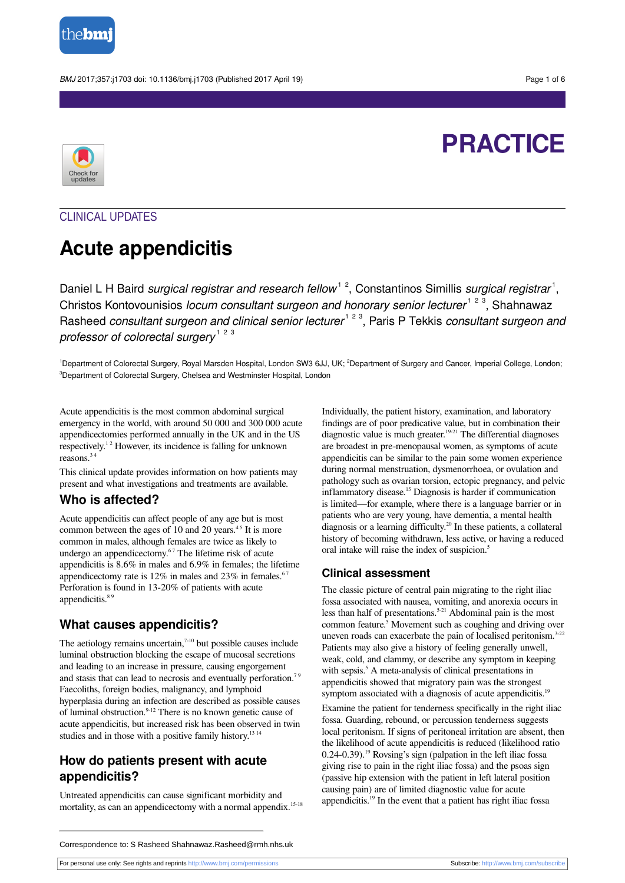

BMJ 2017;357:j1703 doi: 10.1136/bmj.j1703 (Published 2017 April 19) energy and the state of 6 control and the Page 1 of 6



# **PRACTICE**

## CLINICAL UPDATES

## **Acute appendicitis**

Daniel L H Baird surgical registrar and research fellow<sup>12</sup>, Constantinos Simillis surgical registrar<sup>1</sup>, Christos Kontovounisios locum consultant surgeon and honorary senior lecturer<sup>123</sup>, Shahnawaz Rasheed consultant surgeon and clinical senior lecturer<sup>123</sup>, Paris P Tekkis consultant surgeon and professor of colorectal surgery  $^\text{1-2-3}$ 

<sup>1</sup>Department of Colorectal Surgery, Royal Marsden Hospital, London SW3 6JJ, UK; <sup>2</sup>Department of Surgery and Cancer, Imperial College, London; <sup>3</sup>Department of Colorectal Surgery, Chelsea and Westminster Hospital, London

Acute appendicitis is the most common abdominal surgical emergency in the world, with around 50 000 and 300 000 acute appendicectomies performed annually in the UK and in the US respectively.<sup>12</sup> However, its incidence is falling for unknown reasons. 3 4

This clinical update provides information on how patients may present and what investigations and treatments are available.

## **Who is affected?**

Acute appendicitis can affect people of any age but is most common between the ages of 10 and 20 years. $45$  It is more common in males, although females are twice as likely to undergo an appendicectomy.<sup>67</sup> The lifetime risk of acute appendicitis is 8.6% in males and 6.9% in females; the lifetime appendicectomy rate is  $12\%$  in males and  $23\%$  in females.<sup>67</sup> Perforation is found in 13-20% of patients with acute appendicitis.<sup>89</sup>

## **What causes appendicitis?**

The aetiology remains uncertain, $7-10$  but possible causes include luminal obstruction blocking the escape of mucosal secretions and leading to an increase in pressure, causing engorgement and stasis that can lead to necrosis and eventually perforation.<sup>79</sup> Faecoliths, foreign bodies, malignancy, and lymphoid hyperplasia during an infection are described as possible causes of luminal obstruction.<sup>9-12</sup> There is no known genetic cause of acute appendicitis, but increased risk has been observed in twin studies and in those with a positive family history.<sup>13 14</sup>

## **How do patients present with acute appendicitis?**

Untreated appendicitis can cause significant morbidity and mortality, as can an appendicectomy with a normal appendix.<sup>15-18</sup>

Individually, the patient history, examination, and laboratory findings are of poor predicative value, but in combination their diagnostic value is much greater.<sup>19-21</sup> The differential diagnoses are broadest in pre-menopausal women, as symptoms of acute appendicitis can be similar to the pain some women experience during normal menstruation, dysmenorrhoea, or ovulation and pathology such as ovarian torsion, ectopic pregnancy, and pelvic inflammatory disease. <sup>15</sup> Diagnosis is harder if communication is limited—for example, where there is a language barrier or in patients who are very young, have dementia, a mental health diagnosis or a learning difficulty. <sup>20</sup> In these patients, a collateral history of becoming withdrawn, less active, or having a reduced oral intake will raise the index of suspicion. 5

## **Clinical assessment**

The classic picture of central pain migrating to the right iliac fossa associated with nausea, vomiting, and anorexia occurs in less than half of presentations. 5-21 Abdominal pain is the most common feature. 5 Movement such as coughing and driving over uneven roads can exacerbate the pain of localised peritonism.<sup>3-22</sup> Patients may also give a history of feeling generally unwell, weak, cold, and clammy, or describe any symptom in keeping with sepsis.<sup>5</sup> A meta-analysis of clinical presentations in appendicitis showed that migratory pain was the strongest symptom associated with a diagnosis of acute appendicitis.<sup>19</sup>

Examine the patient for tenderness specifically in the right iliac fossa. Guarding, rebound, or percussion tenderness suggests local peritonism. If signs of peritoneal irritation are absent, then the likelihood of acute appendicitis is reduced (likelihood ratio 0.24-0.39).<sup>19</sup> Rovsing's sign (palpation in the left iliac fossa giving rise to pain in the right iliac fossa) and the psoas sign (passive hip extension with the patient in left lateral position causing pain) are of limited diagnostic value for acute appendicitis. <sup>19</sup> In the event that a patient has right iliac fossa

For personal use only: See rights and reprints<http://www.bmj.com/permissions> Subscribe: <http://www.bmj.com/subscribe>

Correspondence to: S Rasheed Shahnawaz.Rasheed@rmh.nhs.uk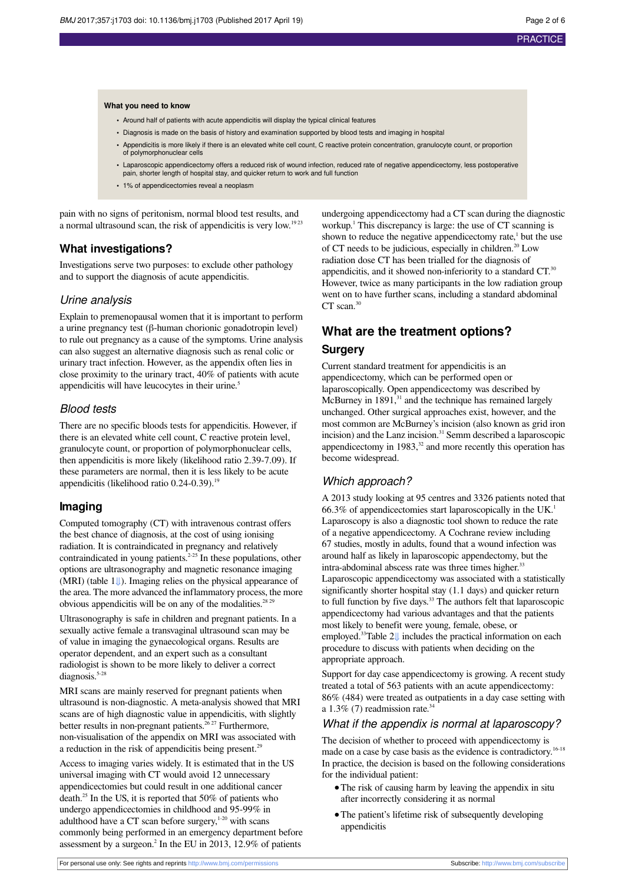#### **What you need to know**

- Around half of patients with acute appendicitis will display the typical clinical features
- **•** Diagnosis is made on the basis of history and examination supported by blood tests and imaging in hospital
- **•** Appendicitis is more likely if there is an elevated white cell count, C reactive protein concentration, granulocyte count, or proportion of polymorphonuclear cells
- **•** Laparoscopic appendicectomy offers a reduced risk of wound infection, reduced rate of negative appendicectomy, less postoperative pain, shorter length of hospital stay, and quicker return to work and full function
- **•** 1% of appendicectomies reveal a neoplasm

pain with no signs of peritonism, normal blood test results, and a normal ultrasound scan, the risk of appendicitis is very low.<sup>1923</sup>

## **What investigations?**

Investigations serve two purposes: to exclude other pathology and to support the diagnosis of acute appendicitis.

#### Urine analysis

Explain to premenopausal women that it is important to perform a urine pregnancy test (β-human chorionic gonadotropin level) to rule out pregnancy as a cause of the symptoms. Urine analysis can also suggest an alternative diagnosis such as renal colic or urinary tract infection. However, as the appendix often lies in close proximity to the urinary tract, 40% of patients with acute appendicitis will have leucocytes in their urine. 5

### Blood tests

There are no specific bloods tests for appendicitis. However, if there is an elevated white cell count, C reactive protein level, granulocyte count, or proportion of polymorphonuclear cells, then appendicitis is more likely (likelihood ratio 2.39-7.09). If these parameters are normal, then it is less likely to be acute appendicitis (likelihood ratio  $0.24$ -0.39).<sup>19</sup>

#### **Imaging**

Computed tomography (CT) with intravenous contrast offers the best chance of diagnosis, at the cost of using ionising radiation. It is contraindicated in pregnancy and relatively contraindicated in young patients. 2-25 In these populations, other options are ultrasonography and magnetic resonance imaging (MRI) (table [1⇓](#page-4-0)). Imaging relies on the physical appearance of the area. The more advanced the inflammatory process, the more obvious appendicitis will be on any of the modalities.<sup>28 29</sup>

Ultrasonography is safe in children and pregnant patients. In a sexually active female a transvaginal ultrasound scan may be of value in imaging the gynaecological organs. Results are operator dependent, and an expert such as a consultant radiologist is shown to be more likely to deliver a correct diagnosis.<sup>5-28</sup>

MRI scans are mainly reserved for pregnant patients when ultrasound is non-diagnostic. A meta-analysis showed that MRI scans are of high diagnostic value in appendicitis, with slightly better results in non-pregnant patients.<sup>26 27</sup> Furthermore, non-visualisation of the appendix on MRI was associated with a reduction in the risk of appendicitis being present.<sup>29</sup>

Access to imaging varies widely. It is estimated that in the US universal imaging with CT would avoid 12 unnecessary appendicectomies but could result in one additional cancer death. <sup>25</sup> In the US, it is reported that 50% of patients who undergo appendicectomies in childhood and 95-99% in adulthood have a CT scan before surgery, $1-20$  with scans commonly being performed in an emergency department before assessment by a surgeon.<sup>2</sup> In the EU in 2013, 12.9% of patients

undergoing appendicectomy had a CT scan during the diagnostic workup.<sup>1</sup> This discrepancy is large: the use of CT scanning is shown to reduce the negative appendicectomy rate, $<sup>1</sup>$  but the use</sup> of CT needs to be judicious, especially in children. <sup>20</sup> Low radiation dose CT has been trialled for the diagnosis of appendicitis, and it showed non-inferiority to a standard  $CT$ .<sup>30</sup> However, twice as many participants in the low radiation group went on to have further scans, including a standard abdominal CT scan.<sup>30</sup>

## **What are the treatment options? Surgery**

Current standard treatment for appendicitis is an appendicectomy, which can be performed open or laparoscopically. Open appendicectomy was described by McBurney in 1891,<sup>31</sup> and the technique has remained largely unchanged. Other surgical approaches exist, however, and the most common are McBurney's incision (also known as grid iron incision) and the Lanz incision. <sup>31</sup> Semm described a laparoscopic appendicectomy in 1983,<sup>32</sup> and more recently this operation has become widespread.

#### Which approach?

A 2013 study looking at 95 centres and 3326 patients noted that 66.3% of appendicectomies start laparoscopically in the UK. 1 Laparoscopy is also a diagnostic tool shown to reduce the rate of a negative appendicectomy. A Cochrane review including 67 studies, mostly in adults, found that a wound infection was around half as likely in laparoscopic appendectomy, but the intra-abdominal abscess rate was three times higher.<sup>33</sup> Laparoscopic appendicectomy was associated with a statistically significantly shorter hospital stay (1.1 days) and quicker return to full function by five days. <sup>33</sup> The authors felt that laparoscopic appendicectomy had various advantages and that the patients most likely to benefit were young, female, obese, or employed.<sup>33</sup>Table 2[⇓](#page-5-0) includes the practical information on each procedure to discuss with patients when deciding on the appropriate approach.

Support for day case appendicectomy is growing. A recent study treated a total of 563 patients with an acute appendicectomy: 86% (484) were treated as outpatients in a day case setting with a  $1.3\%$  (7) readmission rate.<sup>34</sup>

#### What if the appendix is normal at laparoscopy?

The decision of whether to proceed with appendicectomy is made on a case by case basis as the evidence is contradictory.<sup>16-18</sup> In practice, the decision is based on the following considerations for the individual patient:

- **•**The risk of causing harm by leaving the appendix in situ after incorrectly considering it as normal
- **•**The patient's lifetime risk of subsequently developing appendicitis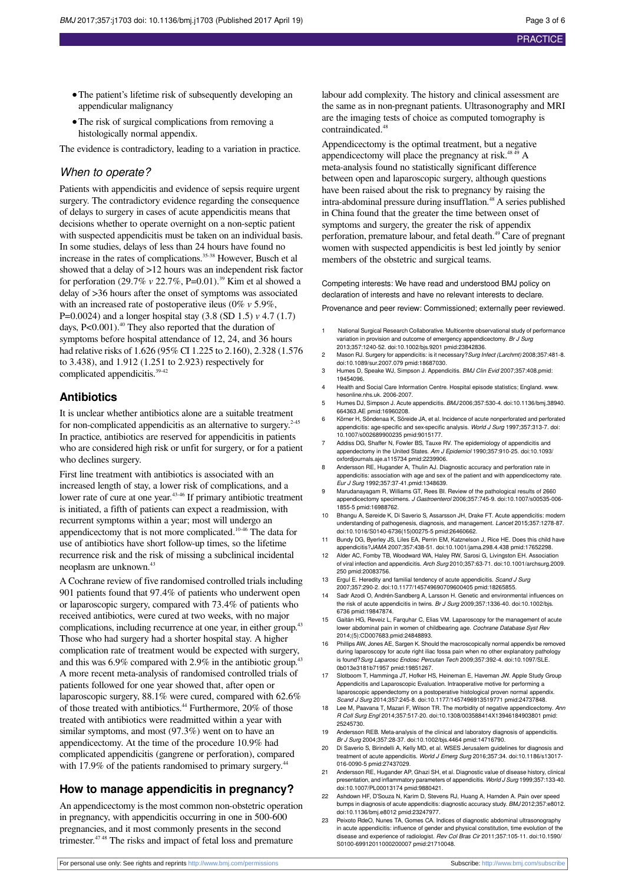- The patient's lifetime risk of subsequently developing an appendicular malignancy
- **•**The risk of surgical complications from removing a histologically normal appendix.

The evidence is contradictory, leading to a variation in practice.

## When to operate?

Patients with appendicitis and evidence of sepsis require urgent surgery. The contradictory evidence regarding the consequence of delays to surgery in cases of acute appendicitis means that decisions whether to operate overnight on a non-septic patient with suspected appendicitis must be taken on an individual basis. In some studies, delays of less than 24 hours have found no increase in the rates of complications. 35-38 However, Busch et al showed that a delay of >12 hours was an independent risk factor for perforation (29.7% *v* 22.7%, P=0.01).<sup>39</sup> Kim et al showed a delay of >36 hours after the onset of symptoms was associated with an increased rate of postoperative ileus (0% *v* 5.9%, P=0.0024) and a longer hospital stay (3.8 (SD 1.5) *v* 4.7 (1.7) days, P<0.001).<sup>40</sup> They also reported that the duration of symptoms before hospital attendance of 12, 24, and 36 hours had relative risks of 1.626 (95% CI 1.225 to 2.160), 2.328 (1.576 to 3.438), and 1.912 (1.251 to 2.923) respectively for complicated appendicitis. 39-42

## **Antibiotics**

It is unclear whether antibiotics alone are a suitable treatment for non-complicated appendicitis as an alternative to surgery. 2-45 In practice, antibiotics are reserved for appendicitis in patients who are considered high risk or unfit for surgery, or for a patient who declines surgery.

First line treatment with antibiotics is associated with an increased length of stay, a lower risk of complications, and a lower rate of cure at one year.<sup>43-46</sup> If primary antibiotic treatment is initiated, a fifth of patients can expect a readmission, with recurrent symptoms within a year; most will undergo an appendicectomy that is not more complicated.<sup>10-46</sup> The data for use of antibiotics have short follow-up times, so the lifetime recurrence risk and the risk of missing a subclinical incidental neoplasm are unknown. 43

A Cochrane review of five randomised controlled trials including 901 patients found that 97.4% of patients who underwent open or laparoscopic surgery, compared with 73.4% of patients who received antibiotics, were cured at two weeks, with no major complications, including recurrence at one year, in either group. 43 Those who had surgery had a shorter hospital stay. A higher complication rate of treatment would be expected with surgery, and this was 6.9% compared with 2.9% in the antibiotic group.<sup>43</sup> A more recent meta-analysis of randomised controlled trials of patients followed for one year showed that, after open or laparoscopic surgery, 88.1% were cured, compared with 62.6% of those treated with antibiotics. <sup>44</sup> Furthermore, 20% of those treated with antibiotics were readmitted within a year with similar symptoms, and most (97.3%) went on to have an appendicectomy. At the time of the procedure 10.9% had complicated appendicitis (gangrene or perforation), compared with 17.9% of the patients randomised to primary surgery.<sup>44</sup>

## **How to manage appendicitis in pregnancy?**

An appendicectomy is the most common non-obstetric operation in pregnancy, with appendicitis occurring in one in 500-600 pregnancies, and it most commonly presents in the second trimester.<sup>47 48</sup> The risks and impact of fetal loss and premature

labour add complexity. The history and clinical assessment are the same as in non-pregnant patients. Ultrasonography and MRI are the imaging tests of choice as computed tomography is contraindicated.4

Appendicectomy is the optimal treatment, but a negative appendicectomy will place the pregnancy at risk.<sup>48 49</sup> A meta-analysis found no statistically significant difference between open and laparoscopic surgery, although questions have been raised about the risk to pregnancy by raising the intra-abdominal pressure during insufflation. <sup>48</sup> A series published in China found that the greater the time between onset of symptoms and surgery, the greater the risk of appendix perforation, premature labour, and fetal death. <sup>49</sup> Care of pregnant women with suspected appendicitis is best led jointly by senior members of the obstetric and surgical teams.

Competing interests: We have read and understood BMJ policy on declaration of interests and have no relevant interests to declare. Provenance and peer review: Commissioned; externally peer reviewed.

- 1 National Surgical Research Collaborative. Multicentre observational study of performance variation in provision and outcome of emergency appendicectomy. Br J Surg 2013;357:1240-52. [doi:10.1002/bjs.9201](http://dx.doi.org/10.1002/bjs.9201) [pmid:23842836.](http://www.ncbi.nlm.nih.gov/pubmed/?term=23842836)
- 2 Mason RJ. Surgery for appendicitis: is it necessary?Surg Infect (Larchmt) 2008;357:481-8. [doi:10.1089/sur.2007.079](http://dx.doi.org/10.1089/sur.2007.079) [pmid:18687030](http://www.ncbi.nlm.nih.gov/pubmed/?term=18687030).
- 3 Humes D, Speake WJ, Simpson J. Appendicitis. BMJ Clin Evid 2007;357:408.[pmid:](http://www.ncbi.nlm.nih.gov/pubmed/?term=19454096) [19454096.](http://www.ncbi.nlm.nih.gov/pubmed/?term=19454096)
- 4 Health and Social Care Information Centre. Hospital episode statistics; England. [www.](http://www.hesonline.nhs.uk) [hesonline.nhs.uk](http://www.hesonline.nhs.uk). 2006-2007.
- 5 Humes DJ, Simpson J. Acute appendicitis. BMJ 2006;357:530-4. [doi:10.1136/bmj.38940.](http://dx.doi.org/10.1136/bmj.38940.664363.AE) [664363.AE](http://dx.doi.org/10.1136/bmj.38940.664363.AE) [pmid:16960208.](http://www.ncbi.nlm.nih.gov/pubmed/?term=16960208)
- 6 Körner H, Söndenaa K, Söreide JA, et al. Incidence of acute nonperforated and perforated appendicitis: age-specific and sex-specific analysis. World J Surg 1997;357:313-7. [doi:](http://dx.doi.org/10.1007/s002689900235) [10.1007/s002689900235](http://dx.doi.org/10.1007/s002689900235) [pmid:9015177](http://www.ncbi.nlm.nih.gov/pubmed/?term=9015177).
- 7 Addiss DG, Shaffer N, Fowler BS, Tauxe RV. The epidemiology of appendicitis and appendectomy in the United States. Am J Epidemiol 1990;357:910-25. [doi:10.1093/](http://dx.doi.org/10.1093/oxfordjournals.aje.a115734) [oxfordjournals.aje.a115734](http://dx.doi.org/10.1093/oxfordjournals.aje.a115734) [pmid:2239906.](http://www.ncbi.nlm.nih.gov/pubmed/?term=2239906)
- 8 Andersson RE, Hugander A, Thulin AJ. Diagnostic accuracy and perforation rate in appendicitis: association with age and sex of the patient and with appendicectomy rate. Eur J Surg 1992;357:37-41[.pmid:1348639](http://www.ncbi.nlm.nih.gov/pubmed/?term=1348639).
- Marudanayagam R, Williams GT, Rees BI. Review of the pathological results of 2660 appendicectomy specimens. J Gastroenterol 2006;357:745-9. [doi:10.1007/s00535-006-](http://dx.doi.org/10.1007/s00535-006-1855-5) [1855-5](http://dx.doi.org/10.1007/s00535-006-1855-5) [pmid:16988762.](http://www.ncbi.nlm.nih.gov/pubmed/?term=16988762)
- 10 Bhangu A, Søreide K, Di Saverio S, Assarsson JH, Drake FT. Acute appendicitis: modern understanding of pathogenesis, diagnosis, and management. Lancet 2015;357:1278-87. [doi:10.1016/S0140-6736\(15\)00275-5](http://dx.doi.org/10.1016/S0140-6736(15)00275-5) [pmid:26460662](http://www.ncbi.nlm.nih.gov/pubmed/?term=26460662).
- 11 Bundy DG, Byerley JS, Liles EA, Perrin EM, Katznelson J, Rice HE. Does this child have appendicitis?JAMA 2007;357:438-51. [doi:10.1001/jama.298.4.438](http://dx.doi.org/10.1001/jama.298.4.438) [pmid:17652298](http://www.ncbi.nlm.nih.gov/pubmed/?term=17652298).
- 12 Alder AC, Fomby TB, Woodward WA, Haley RW, Sarosi G, Livingston EH. Association of viral infection and appendicitis. Arch Surg 2010;357:63-71. [doi:10.1001/archsurg.2009.](http://dx.doi.org/10.1001/archsurg.2009.250) [250](http://dx.doi.org/10.1001/archsurg.2009.250) [pmid:20083756](http://www.ncbi.nlm.nih.gov/pubmed/?term=20083756).
- 13 Ergul E. Heredity and familial tendency of acute appendicitis. Scand J Surg 2007;357:290-2. [doi:10.1177/145749690709600405](http://dx.doi.org/10.1177/145749690709600405) [pmid:18265855.](http://www.ncbi.nlm.nih.gov/pubmed/?term=18265855)
- 14 Sadr Azodi O, Andrén-Sandberg A, Larsson H. Genetic and environmental influences on the risk of acute appendicitis in twins. Br J Surg 2009;357:1336-40. [doi:10.1002/bjs.](http://dx.doi.org/10.1002/bjs.6736) [6736](http://dx.doi.org/10.1002/bjs.6736) [pmid:19847874.](http://www.ncbi.nlm.nih.gov/pubmed/?term=19847874)
- 15 Gaitán HG, Reveiz L, Farquhar C, Elias VM. Laparoscopy for the management of acute lower abdominal pain in women of childbearing age. Cochrane Database Syst Rev 2014;(5):CD007683.[pmid:24848893](http://www.ncbi.nlm.nih.gov/pubmed/?term=24848893).
- Phillips AW, Jones AE, Sargen K. Should the macroscopically normal appendix be removed during laparoscopy for acute right iliac fossa pain when no other explanatory pathology is found?Surg Laparosc Endosc Percutan Tech 2009;357:392-4. [doi:10.1097/SLE.](http://dx.doi.org/10.1097/SLE.0b013e3181b71957) [0b013e3181b71957](http://dx.doi.org/10.1097/SLE.0b013e3181b71957) [pmid:19851267](http://www.ncbi.nlm.nih.gov/pubmed/?term=19851267).
- 17 Slotboom T, Hamminga JT, Hofker HS, Heineman E, Haveman JW. Apple Study Group Appendicitis and Laparoscopic Evaluation. Intraoperative motive for performing a laparoscopic appendectomy on a postoperative histological proven normal appendix. Scand J Surg 2014;357:245-8. [doi:10.1177/1457496913519771](http://dx.doi.org/10.1177/1457496913519771) [pmid:24737848.](http://www.ncbi.nlm.nih.gov/pubmed/?term=24737848)
- 18 Lee M, Paavana T, Mazari F, Wilson TR. The morbidity of negative appendicectomy. Ann R Coll Surg Engl 2014;357:517-20. [doi:10.1308/003588414X13946184903801](http://dx.doi.org/10.1308/003588414X13946184903801) [pmid:](http://www.ncbi.nlm.nih.gov/pubmed/?term=25245730) [25245730.](http://www.ncbi.nlm.nih.gov/pubmed/?term=25245730)
- 19 Andersson REB. Meta-analysis of the clinical and laboratory diagnosis of appendicitis. Br J Surg 2004;357:28-37. [doi:10.1002/bjs.4464](http://dx.doi.org/10.1002/bjs.4464) [pmid:14716790](http://www.ncbi.nlm.nih.gov/pubmed/?term=14716790).
- 20 Di Saverio S, Birindelli A, Kelly MD, et al. WSES Jerusalem guidelines for diagnosis and treatment of acute appendicitis. World J Emerg Surg 2016;357:34. [doi:10.1186/s13017-](http://dx.doi.org/10.1186/s13017-016-0090-5) [016-0090-5](http://dx.doi.org/10.1186/s13017-016-0090-5) [pmid:27437029.](http://www.ncbi.nlm.nih.gov/pubmed/?term=27437029)
- 21 Andersson RE, Hugander AP, Ghazi SH, et al. Diagnostic value of disease history, clinical presentation, and inflammatory parameters of appendicitis. World J Surg 1999;357:133-40. [doi:10.1007/PL00013174](http://dx.doi.org/10.1007/PL00013174) [pmid:9880421.](http://www.ncbi.nlm.nih.gov/pubmed/?term=9880421)
- 22 Ashdown HF, D'Souza N, Karim D, Stevens RJ, Huang A, Harnden A. Pain over speed bumps in diagnosis of acute appendicitis: diagnostic accuracy study. BMJ 2012;357:e8012. [doi:10.1136/bmj.e8012](http://dx.doi.org/10.1136/bmj.e8012) [pmid:23247977](http://www.ncbi.nlm.nih.gov/pubmed/?term=23247977).
- 23 Peixoto RdeO, Nunes TA, Gomes CA. Indices of diagnostic abdominal ultrasonography in acute appendicitis: influence of gender and physical constitution, time evolution of the disease and experience of radiologist. Rev Col Bras Cir 2011;357:105-11. [doi:10.1590/](http://dx.doi.org/10.1590/S0100-69912011000200007) [S0100-69912011000200007](http://dx.doi.org/10.1590/S0100-69912011000200007) [pmid:21710048](http://www.ncbi.nlm.nih.gov/pubmed/?term=21710048).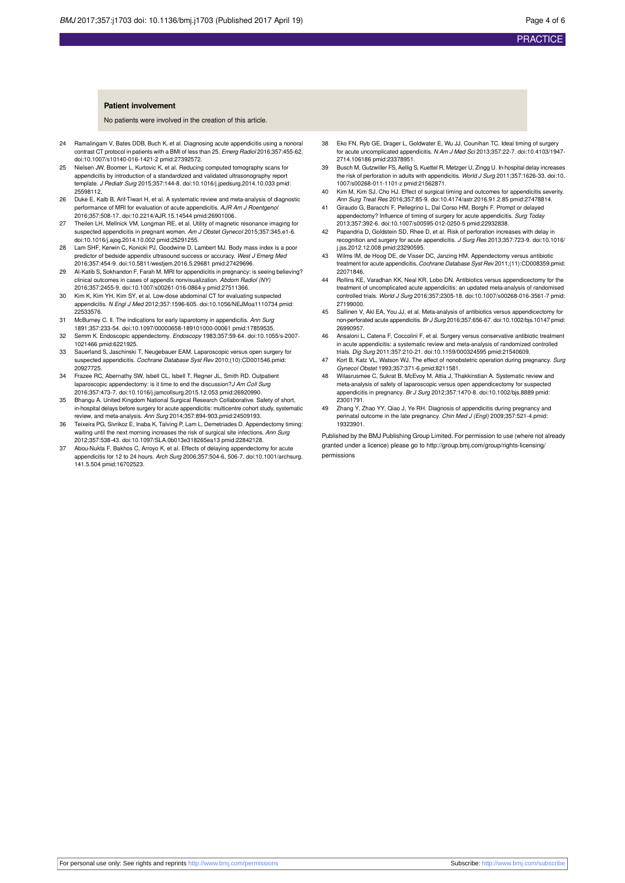#### **Patient involvement**

No patients were involved in the creation of this article.

- 24 Ramalingam V, Bates DDB, Buch K, et al. Diagnosing acute appendicitis using a nonoral contrast CT protocol in patients with a BMI of less than 25. Emerg Radiol 2016;357:455-62. [doi:10.1007/s10140-016-1421-2](http://dx.doi.org/10.1007/s10140-016-1421-2) [pmid:27392572](http://www.ncbi.nlm.nih.gov/pubmed/?term=27392572).
- 25 Nielsen JW, Boomer L, Kurtovic K, et al. Reducing computed tomography scans for appendicitis by introduction of a standardized and validated ultrasonography report template. J Pediatr Surg 2015;357:144-8. [doi:10.1016/j.jpedsurg.2014.10.033](http://dx.doi.org/10.1016/j.jpedsurg.2014.10.033) [pmid:](http://www.ncbi.nlm.nih.gov/pubmed/?term=25598112) [25598112.](http://www.ncbi.nlm.nih.gov/pubmed/?term=25598112)
- 26 Duke E, Kalb B, Arif-Tiwari H, et al. A systematic review and meta-analysis of diagnostic performance of MRI for evaluation of acute appendicitis. AJR Am J Roentgeno.<br>2016;357:508-17. [doi:10.2214/AJR.15.14544](http://dx.doi.org/10.2214/AJR.15.14544) [pmid:26901006](http://www.ncbi.nlm.nih.gov/pubmed/?term=26901006).
- 27 Theilen LH, Mellnick VM, Longman RE, et al. Utility of magnetic resonance imaging for suspected appendicitis in pregnant women. Am J Obstet Gynecol 2015;357:345.e1-6. [doi:10.1016/j.ajog.2014.10.002](http://dx.doi.org/10.1016/j.ajog.2014.10.002) [pmid:25291255](http://www.ncbi.nlm.nih.gov/pubmed/?term=25291255).
- 28 Lam SHF, Kerwin C, Konicki PJ, Goodwine D, Lambert MJ. Body mass index is a poor predictor of bedside appendix ultrasound success or accuracy. West J Emerg Med 2016;357:454-9. [doi:10.5811/westjem.2016.5.29681](http://dx.doi.org/10.5811/westjem.2016.5.29681) [pmid:27429696.](http://www.ncbi.nlm.nih.gov/pubmed/?term=27429696)
- 29 Al-Katib S, Sokhandon F, Farah M. MRI for appendicitis in pregnancy: is seeing believing? clinical outcomes in cases of appendix nonvisualization. Abdom Radiol (NY) 2016;357:2455-9. [doi:10.1007/s00261-016-0864-y](http://dx.doi.org/10.1007/s00261-016-0864-y) [pmid:27511366](http://www.ncbi.nlm.nih.gov/pubmed/?term=27511366).
- 30 Kim K, Kim YH, Kim SY, et al. Low-dose abdominal CT for evaluating suspected appendicitis. N Engl J Med 2012;357:1596-605. [doi:10.1056/NEJMoa1110734](http://dx.doi.org/10.1056/NEJMoa1110734) [pmid:](http://www.ncbi.nlm.nih.gov/pubmed/?term=22533576) [22533576.](http://www.ncbi.nlm.nih.gov/pubmed/?term=22533576)
- 31 McBurney C. II. The indications for early laparotomy in appendicitis. Ann Surg 1891;357:233-54. [doi:10.1097/00000658-189101000-00061](http://dx.doi.org/10.1097/00000658-189101000-00061) [pmid:17859535](http://www.ncbi.nlm.nih.gov/pubmed/?term=17859535).
- 32 Semm K. Endoscopic appendectomy. Endoscopy 1983;357:59-64. [doi:10.1055/s-2007-](http://dx.doi.org/10.1055/s-2007-1021466) [1021466](http://dx.doi.org/10.1055/s-2007-1021466) [pmid:6221925.](http://www.ncbi.nlm.nih.gov/pubmed/?term=6221925)
- 33 Sauerland S, Jaschinski T, Neugebauer EAM. Laparoscopic versus open surgery for suspected appendicitis. Cochrane Database Syst Rev 2010;(10):CD001546.[pmid:](http://www.ncbi.nlm.nih.gov/pubmed/?term=20927725) [20927725.](http://www.ncbi.nlm.nih.gov/pubmed/?term=20927725)
- 34 Frazee RC, Abernathy SW, Isbell CL, Isbell T, Regner JL, Smith RD. Outpatient laparoscopic appendectomy: is it time to end the discussion? J Am Coll Surg 2016;357:473-7. [doi:10.1016/j.jamcollsurg.2015.12.053](http://dx.doi.org/10.1016/j.jamcollsurg.2015.12.053) [pmid:26920990](http://www.ncbi.nlm.nih.gov/pubmed/?term=26920990).
- 35 Bhangu A. United Kingdom National Surgical Research Collaborative. Safety of short, in-hospital delays before surgery for acute appendicitis: multicentre cohort study, systematic review, and meta-analysis. Ann Surg 2014;357:894-903.[pmid:24509193.](http://www.ncbi.nlm.nih.gov/pubmed/?term=24509193)
- 36 Teixeira PG, Sivrikoz E, Inaba K, Talving P, Lam L, Demetriades D. Appendectomy timing: waiting until the next morning increases the risk of surgical site infections. Ann Surg 2012;357:538-43. [doi:10.1097/SLA.0b013e318265ea13](http://dx.doi.org/10.1097/SLA.0b013e318265ea13) [pmid:22842128.](http://www.ncbi.nlm.nih.gov/pubmed/?term=22842128)
- 37 Abou-Nukta F, Bakhos C, Arroyo K, et al. Effects of delaying appendectomy for acute appendicitis for 12 to 24 hours. Arch Surg 2006;357:504-6, 506-7. [doi:10.1001/archsurg.](http://dx.doi.org/10.1001/archsurg.141.5.504) [141.5.504](http://dx.doi.org/10.1001/archsurg.141.5.504) [pmid:16702523](http://www.ncbi.nlm.nih.gov/pubmed/?term=16702523).
- 38 Eko FN, Ryb GE, Drager L, Goldwater E, Wu JJ, Counihan TC. Ideal timing of surgery for acute uncomplicated appendicitis. N Am J Med Sci 2013;357:22-7. [doi:10.4103/1947-](http://dx.doi.org/10.4103/1947-2714.106186) [2714.106186](http://dx.doi.org/10.4103/1947-2714.106186) [pmid:23378951.](http://www.ncbi.nlm.nih.gov/pubmed/?term=23378951)
- 39 Busch M, Gutzwiller FS, Aellig S, Kuettel R, Metzger U, Zingg U. In-hospital delay increases the risk of perforation in adults with appendicitis. World J Surg 2011;357:1626-33. [doi:10.](http://dx.doi.org/10.1007/s00268-011-1101-z) [1007/s00268-011-1101-z](http://dx.doi.org/10.1007/s00268-011-1101-z) [pmid:21562871.](http://www.ncbi.nlm.nih.gov/pubmed/?term=21562871)
- 40 Kim M, Kim SJ, Cho HJ. Effect of surgical timing and outcomes for appendicitis severity. Ann Surg Treat Res 2016;357:85-9. [doi:10.4174/astr.2016.91.2.85](http://dx.doi.org/10.4174/astr.2016.91.2.85) [pmid:27478814.](http://www.ncbi.nlm.nih.gov/pubmed/?term=27478814)
- 41 Giraudo G, Baracchi F, Pellegrino L, Dal Corso HM, Borghi F. Prompt or delayed appendectomy? Influence of timing of surgery for acute appendicitis. Surg Today 2013;357:392-6. [doi:10.1007/s00595-012-0250-5](http://dx.doi.org/10.1007/s00595-012-0250-5) [pmid:22932838.](http://www.ncbi.nlm.nih.gov/pubmed/?term=22932838)
- Papandria D, Goldstein SD, Rhee D, et al. Risk of perforation increases with delay in recognition and surgery for acute appendicitis. J Surg Res 2013;357:723-9. [doi:10.1016/](http://dx.doi.org/10.1016/j.jss.2012.12.008) [j.jss.2012.12.008](http://dx.doi.org/10.1016/j.jss.2012.12.008) [pmid:23290595](http://www.ncbi.nlm.nih.gov/pubmed/?term=23290595).
- 43 Wilms IM, de Hoog DE, de Visser DC, Janzing HM. Appendectomy versus antibiotic treatment for acute appendicitis. Cochrane Database Syst Rev 2011;(11):CD008359[.pmid:](http://www.ncbi.nlm.nih.gov/pubmed/?term=22071846) [22071846.](http://www.ncbi.nlm.nih.gov/pubmed/?term=22071846)
- 44 Rollins KE, Varadhan KK, Neal KR, Lobo DN. Antibiotics versus appendicectomy for the treatment of uncomplicated acute appendicitis: an updated meta-analysis of randomised controlled trials. World J Surg 2016;357:2305-18. [doi:10.1007/s00268-016-3561-7](http://dx.doi.org/10.1007/s00268-016-3561-7) [pmid:](http://www.ncbi.nlm.nih.gov/pubmed/?term=27199000) [27199000.](http://www.ncbi.nlm.nih.gov/pubmed/?term=27199000)
- 45 Sallinen V, Akl EA, You JJ, et al. Meta-analysis of antibiotics versus appendicectomy for non-perforated acute appendicitis. Br J Surg 2016;357:656-67. [doi:10.1002/bjs.10147](http://dx.doi.org/10.1002/bjs.10147) [pmid:](http://www.ncbi.nlm.nih.gov/pubmed/?term=26990957) [26990957.](http://www.ncbi.nlm.nih.gov/pubmed/?term=26990957)
- 46 Ansaloni L, Catena F, Coccolini F, et al. Surgery versus conservative antibiotic treatment in acute appendicitis: a systematic review and meta-analysis of randomized controlled trials. Dig Surg 2011;357:210-21. [doi:10.1159/000324595](http://dx.doi.org/10.1159/000324595) [pmid:21540609.](http://www.ncbi.nlm.nih.gov/pubmed/?term=21540609)
- 47 Kort B, Katz VL, Watson WJ. The effect of nonobstetric operation during pregnancy. Surg Gynecol Obstet 1993;357:371-6[.pmid:8211581](http://www.ncbi.nlm.nih.gov/pubmed/?term=8211581).
- 48 Wilasrusmee C, Sukrat B, McEvoy M, Attia J, Thakkinstian A. Systematic review and meta-analysis of safety of laparoscopic versus open appendicectomy for suspected appendicitis in pregnancy. Br J Surg 2012;357:1470-8. [doi:10.1002/bjs.8889](http://dx.doi.org/10.1002/bjs.8889) [pmid:](http://www.ncbi.nlm.nih.gov/pubmed/?term=23001791) [23001791.](http://www.ncbi.nlm.nih.gov/pubmed/?term=23001791)
- 49 Zhang Y, Zhao YY, Qiao J, Ye RH. Diagnosis of appendicitis during pregnancy and perinatal outcome in the late pregnancy. Chin Med J (Engl) 2009;357:521-4[.pmid:](http://www.ncbi.nlm.nih.gov/pubmed/?term=19323901) [19323901.](http://www.ncbi.nlm.nih.gov/pubmed/?term=19323901)

Published by the BMJ Publishing Group Limited. For permission to use (where not already granted under a licence) please go to [http://group.bmj.com/group/rights-licensing/](http://group.bmj.com/group/rights-licensing/permissions) [permissions](http://group.bmj.com/group/rights-licensing/permissions)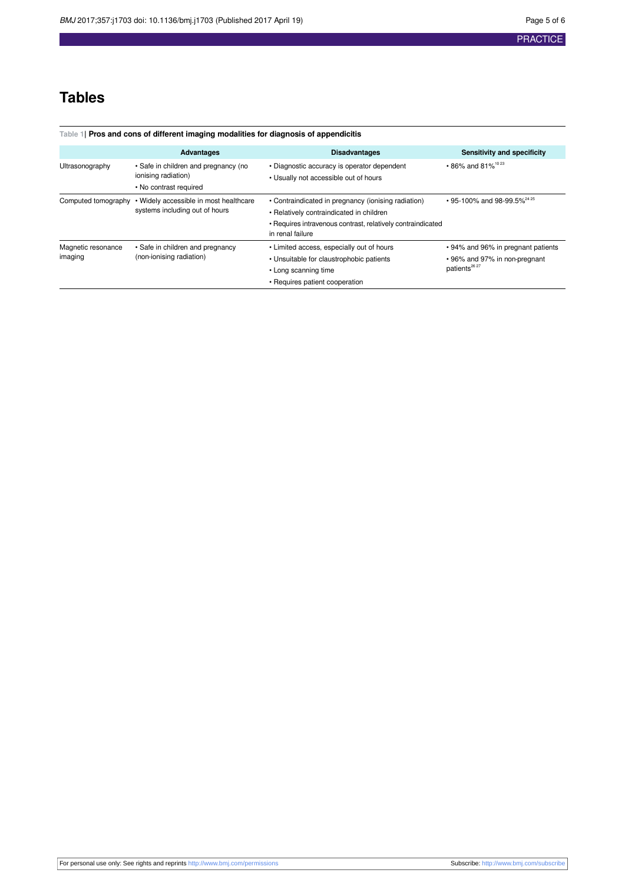## **Tables**

<span id="page-4-0"></span>

| Table 1 Pros and cons of different imaging modalities for diagnosis of appendicitis |                                                                                       |                                                                                                                                                                                    |                                                                                                             |  |
|-------------------------------------------------------------------------------------|---------------------------------------------------------------------------------------|------------------------------------------------------------------------------------------------------------------------------------------------------------------------------------|-------------------------------------------------------------------------------------------------------------|--|
|                                                                                     | <b>Advantages</b>                                                                     | <b>Disadvantages</b>                                                                                                                                                               | Sensitivity and specificity                                                                                 |  |
| Ultrasonography                                                                     | • Safe in children and pregnancy (no<br>ionising radiation)<br>• No contrast required | • Diagnostic accuracy is operator dependent<br>• Usually not accessible out of hours                                                                                               | $\cdot$ 86% and 81% <sup>1023</sup>                                                                         |  |
| Computed tomography                                                                 | • Widely accessible in most healthcare<br>systems including out of hours              | • Contraindicated in pregnancy (ionising radiation)<br>• Relatively contraindicated in children<br>• Requires intravenous contrast, relatively contraindicated<br>in renal failure | • 95-100% and 98-99.5% <sup>24 25</sup>                                                                     |  |
| Magnetic resonance<br>imaging                                                       | • Safe in children and pregnancy<br>(non-ionising radiation)                          | • Limited access, especially out of hours<br>• Unsuitable for claustrophobic patients<br>• Long scanning time<br>• Requires patient cooperation                                    | • 94% and 96% in pregnant patients<br>• 96% and 97% in non-pregnant<br>patients <sup>26</sup> <sup>27</sup> |  |